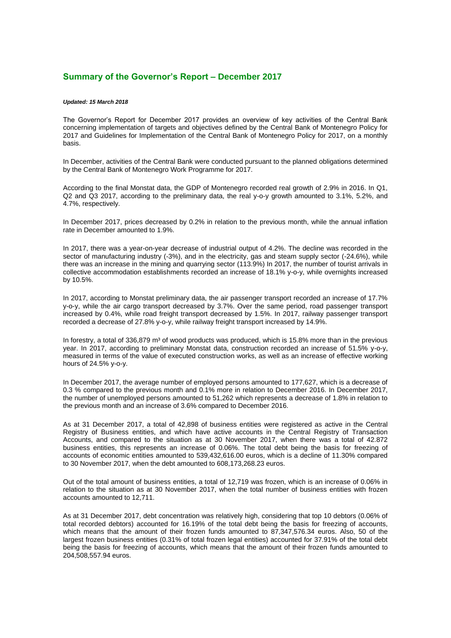## **Summary of the Governor's Report – December 2017**

## *Updated: 15 March 2018*

The Governor's Report for December 2017 provides an overview of key activities of the Central Bank concerning implementation of targets and objectives defined by the Central Bank of Montenegro Policy for 2017 and Guidelines for Implementation of the Central Bank of Montenegro Policy for 2017, on a monthly basis.

In December, activities of the Central Bank were conducted pursuant to the planned obligations determined by the Central Bank of Montenegro Work Programme for 2017.

According to the final Monstat data, the GDP of Montenegro recorded real growth of 2.9% in 2016. In Q1, Q2 and Q3 2017, according to the preliminary data, the real y-o-y growth amounted to 3.1%, 5.2%, and 4.7%, respectively.

In December 2017, prices decreased by 0.2% in relation to the previous month, while the annual inflation rate in December amounted to 1.9%.

In 2017, there was a year-on-year decrease of industrial output of 4.2%. The decline was recorded in the sector of manufacturing industry (-3%), and in the electricity, gas and steam supply sector (-24.6%), while there was an increase in the mining and quarrying sector (113.9%) In 2017, the number of tourist arrivals in collective accommodation establishments recorded an increase of 18.1% y-o-y, while overnights increased by 10.5%.

In 2017, according to Monstat preliminary data, the air passenger transport recorded an increase of 17.7% y-o-y, while the air cargo transport decreased by 3.7%. Over the same period, road passenger transport increased by 0.4%, while road freight transport decreased by 1.5%. In 2017, railway passenger transport recorded a decrease of 27.8% y-o-y, while railway freight transport increased by 14.9%.

In forestry, a total of 336,879 m<sup>3</sup> of wood products was produced, which is 15.8% more than in the previous year. In 2017, according to preliminary Monstat data, construction recorded an increase of 51.5% y-o-y, measured in terms of the value of executed construction works, as well as an increase of effective working hours of 24.5% y-o-y.

In December 2017, the average number of employed persons amounted to 177,627, which is a decrease of 0.3 % compared to the previous month and 0.1% more in relation to December 2016. In December 2017, the number of unemployed persons amounted to 51,262 which represents a decrease of 1.8% in relation to the previous month and an increase of 3.6% compared to December 2016.

As at 31 December 2017, a total of 42,898 of business entities were registered as active in the Central Registry of Business entities, and which have active accounts in the Central Registry of Transaction Accounts, and compared to the situation as at 30 November 2017, when there was a total of 42.872 business entities, this represents an increase of 0.06%. The total debt being the basis for freezing of accounts of economic entities amounted to 539,432,616.00 euros, which is a decline of 11.30% compared to 30 November 2017, when the debt amounted to 608,173,268.23 euros.

Out of the total amount of business entities, a total of 12,719 was frozen, which is an increase of 0.06% in relation to the situation as at 30 November 2017, when the total number of business entities with frozen accounts amounted to 12,711.

As at 31 December 2017, debt concentration was relatively high, considering that top 10 debtors (0.06% of total recorded debtors) accounted for 16.19% of the total debt being the basis for freezing of accounts, which means that the amount of their frozen funds amounted to 87,347,576.34 euros. Also, 50 of the largest frozen business entities (0.31% of total frozen legal entities) accounted for 37.91% of the total debt being the basis for freezing of accounts, which means that the amount of their frozen funds amounted to 204,508,557.94 euros.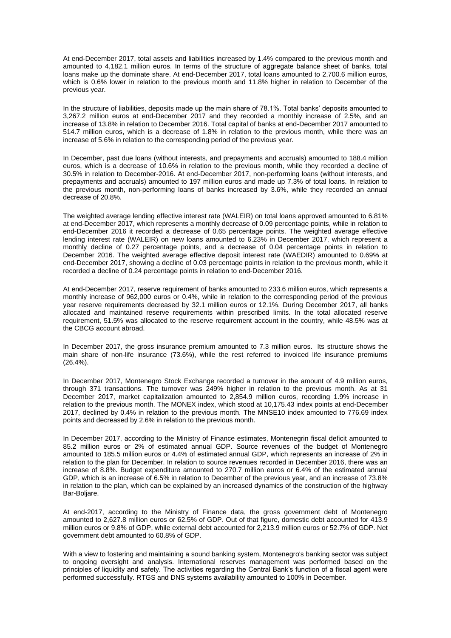At end-December 2017, total assets and liabilities increased by 1.4% compared to the previous month and amounted to 4,182.1 million euros. In terms of the structure of aggregate balance sheet of banks, total loans make up the dominate share. At end-December 2017, total loans amounted to 2,700.6 million euros, which is 0.6% lower in relation to the previous month and 11.8% higher in relation to December of the previous year.

In the structure of liabilities, deposits made up the main share of 78.1%. Total banks' deposits amounted to 3,267.2 million euros at end-December 2017 and they recorded a monthly increase of 2.5%, and an increase of 13.8% in relation to December 2016. Total capital of banks at end-December 2017 amounted to 514.7 million euros, which is a decrease of 1.8% in relation to the previous month, while there was an increase of 5.6% in relation to the corresponding period of the previous year.

In December, past due loans (without interests, and prepayments and accruals) amounted to 188.4 million euros, which is a decrease of 10.6% in relation to the previous month, while they recorded a decline of 30.5% in relation to December-2016. At end-December 2017, non-performing loans (without interests, and prepayments and accruals) amounted to 197 million euros and made up 7.3% of total loans. In relation to the previous month, non-performing loans of banks increased by 3.6%, while they recorded an annual decrease of 20.8%.

The weighted average lending effective interest rate (WALEIR) on total loans approved amounted to 6.81% at end-December 2017, which represents a monthly decrease of 0.09 percentage points, while in relation to end-December 2016 it recorded a decrease of 0.65 percentage points. The weighted average effective lending interest rate (WALEIR) on new loans amounted to 6.23% in December 2017, which represent a monthly decline of 0.27 percentage points, and a decrease of 0.04 percentage points in relation to December 2016. The weighted average effective deposit interest rate (WAEDIR) amounted to 0.69% at end-December 2017, showing a decline of 0.03 percentage points in relation to the previous month, while it recorded a decline of 0.24 percentage points in relation to end-December 2016.

At end-December 2017, reserve requirement of banks amounted to 233.6 million euros, which represents a monthly increase of 962,000 euros or 0.4%, while in relation to the corresponding period of the previous year reserve requirements decreased by 32.1 million euros or 12.1%. During December 2017, all banks allocated and maintained reserve requirements within prescribed limits. In the total allocated reserve requirement, 51.5% was allocated to the reserve requirement account in the country, while 48.5% was at the CBCG account abroad.

In December 2017, the gross insurance premium amounted to 7.3 million euros. Its structure shows the main share of non-life insurance (73.6%), while the rest referred to invoiced life insurance premiums (26.4%).

In December 2017, Montenegro Stock Exchange recorded a turnover in the amount of 4.9 million euros, through 371 transactions. The turnover was 249% higher in relation to the previous month. As at 31 December 2017, market capitalization amounted to 2,854.9 million euros, recording 1.9% increase in relation to the previous month. The MONEX index, which stood at 10,175.43 index points at end-December 2017, declined by 0.4% in relation to the previous month. The MNSE10 index amounted to 776.69 index points and decreased by 2.6% in relation to the previous month.

In December 2017, according to the Ministry of Finance estimates, Montenegrin fiscal deficit amounted to 85.2 million euros or 2% of estimated annual GDP. Source revenues of the budget of Montenegro amounted to 185.5 million euros or 4.4% of estimated annual GDP, which represents an increase of 2% in relation to the plan for December. In relation to source revenues recorded in December 2016, there was an increase of 8.8%. Budget expenditure amounted to 270.7 million euros or 6.4% of the estimated annual GDP, which is an increase of 6.5% in relation to December of the previous year, and an increase of 73.8% in relation to the plan, which can be explained by an increased dynamics of the construction of the highway Bar-Boljare.

At end-2017, according to the Ministry of Finance data, the gross government debt of Montenegro amounted to 2,627.8 million euros or 62.5% of GDP. Out of that figure, domestic debt accounted for 413.9 million euros or 9.8% of GDP, while external debt accounted for 2,213.9 million euros or 52.7% of GDP. Net government debt amounted to 60.8% of GDP.

With a view to fostering and maintaining a sound banking system, Montenegro's banking sector was subject to ongoing oversight and analysis. International reserves management was performed based on the principles of liquidity and safety. The activities regarding the Central Bank's function of a fiscal agent were performed successfully. RTGS and DNS systems availability amounted to 100% in December.